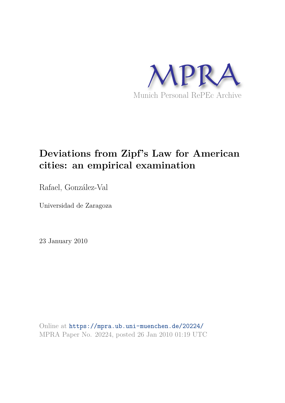

# **Deviations from Zipf's Law for American cities: an empirical examination**

Rafael, González-Val

Universidad de Zaragoza

23 January 2010

Online at https://mpra.ub.uni-muenchen.de/20224/ MPRA Paper No. 20224, posted 26 Jan 2010 01:19 UTC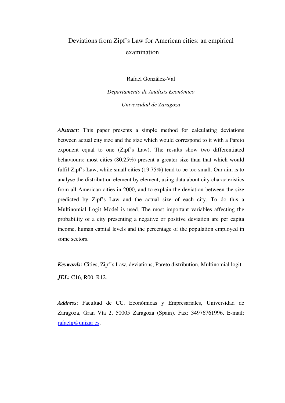## Deviations from Zipf's Law for American cities: an empirical examination

Rafael González-Val

*Departamento de Análisis Económico Universidad de Zaragoza* 

*Abstract:* This paper presents a simple method for calculating deviations between actual city size and the size which would correspond to it with a Pareto exponent equal to one (Zipf's Law). The results show two differentiated behaviours: most cities (80.25%) present a greater size than that which would fulfil Zipf's Law, while small cities (19.75%) tend to be too small. Our aim is to analyse the distribution element by element, using data about city characteristics from all American cities in 2000, and to explain the deviation between the size predicted by Zipf's Law and the actual size of each city. To do this a Multinomial Logit Model is used. The most important variables affecting the probability of a city presenting a negative or positive deviation are per capita income, human capital levels and the percentage of the population employed in some sectors.

*Keywords:* Cities, Zipf's Law, deviations, Pareto distribution, Multinomial logit. *JEL:* C16, R00, R12.

*Address*: Facultad de CC. Económicas y Empresariales, Universidad de Zaragoza, Gran Vía 2, 50005 Zaragoza (Spain). Fax: 34976761996. E-mail: rafaelg@unizar.es.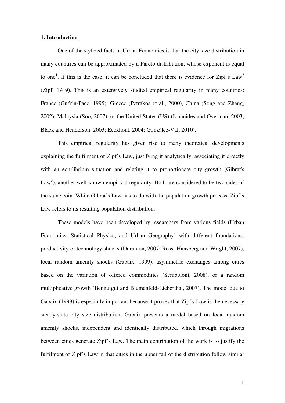#### **1. Introduction**

One of the stylized facts in Urban Economics is that the city size distribution in many countries can be approximated by a Pareto distribution, whose exponent is equal to one<sup>1</sup>. If this is the case, it can be concluded that there is evidence for Zipf's Law<sup>2</sup> (Zipf, 1949). This is an extensively studied empirical regularity in many countries: France (Guérin-Pace, 1995), Greece (Petrakos et al., 2000), China (Song and Zhang, 2002), Malaysia (Soo, 2007), or the United States (US) (Ioannides and Overman, 2003; Black and Henderson, 2003; Eeckhout, 2004; González-Val, 2010).

This empirical regularity has given rise to many theoretical developments explaining the fulfilment of Zipf's Law, justifying it analytically, associating it directly with an equilibrium situation and relating it to proportionate city growth (Gibrat's  $Law<sup>3</sup>$ ), another well-known empirical regularity. Both are considered to be two sides of the same coin. While Gibrat's Law has to do with the population growth process, Zipf's Law refers to its resulting population distribution.

These models have been developed by researchers from various fields (Urban Economics, Statistical Physics, and Urban Geography) with different foundations: productivity or technology shocks (Duranton, 2007; Rossi-Hansberg and Wright, 2007), local random amenity shocks (Gabaix, 1999), asymmetric exchanges among cities based on the variation of offered commodities (Semboloni, 2008), or a random multiplicative growth (Benguigui and Blumenfeld-Lieberthal, 2007). The model due to Gabaix (1999) is especially important because it proves that Zipf's Law is the necessary steady-state city size distribution. Gabaix presents a model based on local random amenity shocks, independent and identically distributed, which through migrations between cities generate Zipf's Law. The main contribution of the work is to justify the fulfilment of Zipf's Law in that cities in the upper tail of the distribution follow similar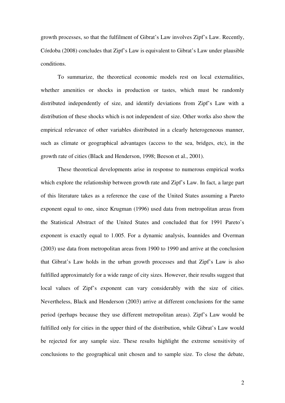growth processes, so that the fulfilment of Gibrat's Law involves Zipf's Law. Recently, Córdoba (2008) concludes that Zipf's Law is equivalent to Gibrat's Law under plausible conditions.

To summarize, the theoretical economic models rest on local externalities, whether amenities or shocks in production or tastes, which must be randomly distributed independently of size, and identify deviations from Zipf's Law with a distribution of these shocks which is not independent of size. Other works also show the empirical relevance of other variables distributed in a clearly heterogeneous manner, such as climate or geographical advantages (access to the sea, bridges, etc), in the growth rate of cities (Black and Henderson, 1998; Beeson et al., 2001).

These theoretical developments arise in response to numerous empirical works which explore the relationship between growth rate and Zipf's Law. In fact, a large part of this literature takes as a reference the case of the United States assuming a Pareto exponent equal to one, since Krugman (1996) used data from metropolitan areas from the Statistical Abstract of the United States and concluded that for 1991 Pareto's exponent is exactly equal to 1.005. For a dynamic analysis, Ioannides and Overman (2003) use data from metropolitan areas from 1900 to 1990 and arrive at the conclusion that Gibrat's Law holds in the urban growth processes and that Zipf's Law is also fulfilled approximately for a wide range of city sizes. However, their results suggest that local values of Zipf's exponent can vary considerably with the size of cities. Nevertheless, Black and Henderson (2003) arrive at different conclusions for the same period (perhaps because they use different metropolitan areas). Zipf's Law would be fulfilled only for cities in the upper third of the distribution, while Gibrat's Law would be rejected for any sample size. These results highlight the extreme sensitivity of conclusions to the geographical unit chosen and to sample size. To close the debate,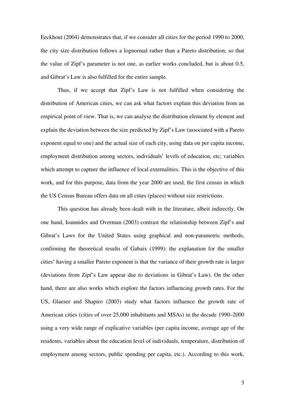Eeckhout (2004) demonstrates that, if we consider all cities for the period 1990 to 2000, the city size distribution follows a lognormal rather than a Pareto distribution, so that the value of Zipf's parameter is not one, as earlier works concluded, but is about 0.5, and Gibrat's Law is also fulfilled for the entire sample.

Thus, if we accept that Zipf's Law is not fulfilled when considering the distribution of American cities, we can ask what factors explain this deviation from an empirical point of view. That is, we can analyse the distribution element by element and explain the deviation between the size predicted by Zipf's Law (associated with a Pareto exponent equal to one) and the actual size of each city, using data on per capita income, employment distribution among sectors, individuals' levels of education, etc; variables which attempt to capture the influence of local externalities. This is the objective of this work, and for this purpose, data from the year 2000 are used, the first census in which the US Census Bureau offers data on all cities (places) without size restrictions.

This question has already been dealt with in the literature, albeit indirectly. On one hand, Ioannides and Overman (2003) contrast the relationship between Zipf's and Gibrat's Laws for the United States using graphical and non-parametric methods, confirming the theoretical results of Gabaix (1999): the explanation for the smaller cities' having a smaller Pareto exponent is that the variance of their growth rate is larger (deviations from Zipf's Law appear due to deviations in Gibrat's Law). On the other hand, there are also works which explore the factors influencing growth rates. For the US, Glaeser and Shapiro (2003) study what factors influence the growth rate of American cities (cities of over 25,000 inhabitants and MSAs) in the decade 1990–2000 using a very wide range of explicative variables (per capita income, average age of the residents, variables about the education level of individuals, temperature, distribution of employment among sectors, public spending per capita, etc.). According to this work,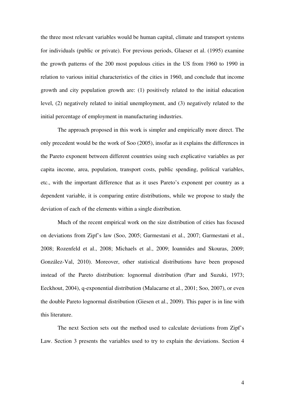the three most relevant variables would be human capital, climate and transport systems for individuals (public or private). For previous periods, Glaeser et al. (1995) examine the growth patterns of the 200 most populous cities in the US from 1960 to 1990 in relation to various initial characteristics of the cities in 1960, and conclude that income growth and city population growth are: (1) positively related to the initial education level, (2) negatively related to initial unemployment, and (3) negatively related to the initial percentage of employment in manufacturing industries.

The approach proposed in this work is simpler and empirically more direct. The only precedent would be the work of Soo (2005), insofar as it explains the differences in the Pareto exponent between different countries using such explicative variables as per capita income, area, population, transport costs, public spending, political variables, etc., with the important difference that as it uses Pareto's exponent per country as a dependent variable, it is comparing entire distributions, while we propose to study the deviation of each of the elements within a single distribution.

Much of the recent empirical work on the size distribution of cities has focused on deviations from Zipf's law (Soo, 2005; Garmestani et al., 2007; Garmestani et al., 2008; Rozenfeld et al., 2008; Michaels et al., 2009; Ioannides and Skouras, 2009; González-Val, 2010). Moreover, other statistical distributions have been proposed instead of the Pareto distribution: lognormal distribution (Parr and Suzuki, 1973; Eeckhout, 2004), q-exponential distribution (Malacarne et al., 2001; Soo, 2007), or even the double Pareto lognormal distribution (Giesen et al., 2009). This paper is in line with this literature.

The next Section sets out the method used to calculate deviations from Zipf's Law. Section 3 presents the variables used to try to explain the deviations. Section 4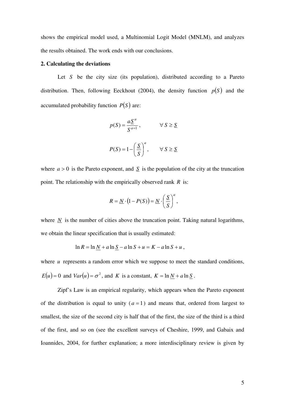shows the empirical model used, a Multinomial Logit Model (MNLM), and analyzes the results obtained. The work ends with our conclusions.

#### **2. Calculating the deviations**

Let *S* be the city size (its population), distributed according to a Pareto distribution. Then, following Eeckhout (2004), the density function  $p(S)$  and the accumulated probability function  $P(S)$  are:

$$
p(S) = \frac{a \underline{S}^a}{S^{a+1}}, \qquad \forall S \ge \underline{S}
$$

$$
P(S) = 1 - \left(\frac{S}{S}\right)^a, \qquad \forall S \ge S
$$

where  $a > 0$  is the Pareto exponent, and  $S$  is the population of the city at the truncation point. The relationship with the empirically observed rank *R* is:

$$
R = \underline{N} \cdot (1 - P(S)) = \underline{N} \cdot \left(\frac{S}{S}\right)^a,
$$

where  $\overline{N}$  is the number of cities above the truncation point. Taking natural logarithms, we obtain the linear specification that is usually estimated:

$$
\ln R = \ln \underline{N} + a \ln \underline{S} - a \ln S + u = K - a \ln S + u,
$$

where *u* represents a random error which we suppose to meet the standard conditions,

$$
E(u) = 0
$$
 and  $Var(u) = \sigma^2$ , and K is a constant,  $K = \ln N + a \ln S$ .

Zipf's Law is an empirical regularity, which appears when the Pareto exponent of the distribution is equal to unity  $(a = 1)$  and means that, ordered from largest to smallest, the size of the second city is half that of the first, the size of the third is a third of the first, and so on (see the excellent surveys of Cheshire, 1999, and Gabaix and Ioannides, 2004, for further explanation; a more interdisciplinary review is given by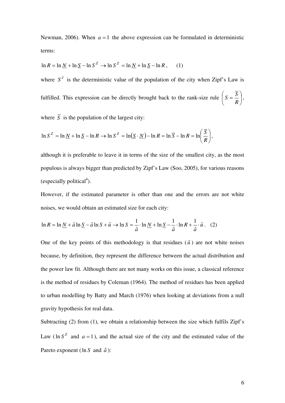Newman, 2006). When  $a = 1$  the above expression can be formulated in deterministic terms:

$$
\ln R = \ln \underline{N} + \ln \underline{S} - \ln S^Z \rightarrow \ln S^Z = \ln \underline{N} + \ln \underline{S} - \ln R, \quad (1)
$$

where  $S^Z$  is the deterministic value of the population of the city when Zipf's Law is fulfilled. This expression can be directly brought back to the rank-size rule  $S = \frac{6}{5}$ ⎠  $S = \frac{\overline{S}}{S}$ ⎝  $\left( S =\right)$ *R*  $S = \frac{S}{R}$ ,

where  $\overline{S}$  is the population of the largest city:

$$
\ln S^Z = \ln \underline{N} + \ln \underline{S} - \ln R \rightarrow \ln S^Z = \ln(\underline{S} \cdot \underline{N}) - \ln R = \ln \overline{S} - \ln R = \ln \left( \frac{\overline{S}}{R} \right),
$$

although it is preferable to leave it in terms of the size of the smallest city, as the most populous is always bigger than predicted by Zipf's Law (Soo, 2005), for various reasons (especially political<sup>4</sup>).

However, if the estimated parameter is other than one and the errors are not white noises, we would obtain an estimated size for each city:

$$
\ln R = \ln \underline{N} + \hat{a} \ln \underline{S} - \hat{a} \ln S + \hat{u} \rightarrow \ln S = \frac{1}{\hat{a}} \cdot \ln \underline{N} + \ln \underline{S} - \frac{1}{\hat{a}} \cdot \ln R + \frac{1}{\hat{a}} \cdot \hat{u} \tag{2}
$$

One of the key points of this methodology is that residues  $(\hat{u})$  are not white noises because, by definition, they represent the difference between the actual distribution and the power law fit. Although there are not many works on this issue, a classical reference is the method of residues by Coleman (1964). The method of residues has been applied to urban modelling by Batty and March (1976) when looking at deviations from a null gravity hypothesis for real data.

Subtracting (2) from (1), we obtain a relationship between the size which fulfils Zipf's Law ( $\ln S^2$  and  $a = 1$ ), and the actual size of the city and the estimated value of the Pareto exponent (ln *S* and  $\hat{a}$ ):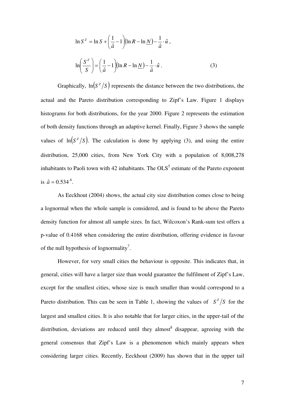$$
\ln S^{z} = \ln S + \left(\frac{1}{\hat{a}} - 1\right) (\ln R - \ln \underline{N}) - \frac{1}{\hat{a}} \cdot \hat{u},
$$

$$
\ln \left(\frac{S^{z}}{S}\right) = \left(\frac{1}{\hat{a}} - 1\right) (\ln R - \ln \underline{N}) - \frac{1}{\hat{a}} \cdot \hat{u}.
$$
(3)

Graphically,  $\ln(S^Z/S)$  represents the distance between the two distributions, the actual and the Pareto distribution corresponding to Zipf's Law. Figure 1 displays histograms for both distributions, for the year 2000. Figure 2 represents the estimation of both density functions through an adaptive kernel. Finally, Figure 3 shows the sample values of  $\ln(S^2/S)$ . The calculation is done by applying (3), and using the entire distribution, 25,000 cities, from New York City with a population of 8,008,278 inhabitants to Paoli town with 42 inhabitants. The  $OLS^5$  estimate of the Pareto exponent is  $\hat{a} = 0.534^{\circ}$ .

As Eeckhout (2004) shows, the actual city size distribution comes close to being a lognormal when the whole sample is considered, and is found to be above the Pareto density function for almost all sample sizes. In fact, Wilcoxon's Rank-sum test offers a p-value of 0.4168 when considering the entire distribution, offering evidence in favour of the null hypothesis of lognormality<sup>7</sup>.

However, for very small cities the behaviour is opposite. This indicates that, in general, cities will have a larger size than would guarantee the fulfilment of Zipf's Law, except for the smallest cities, whose size is much smaller than would correspond to a Pareto distribution. This can be seen in Table 1, showing the values of  $S^Z/S$  for the largest and smallest cities. It is also notable that for larger cities, in the upper-tail of the distribution, deviations are reduced until they almost  $\delta$  disappear, agreeing with the general consensus that Zipf's Law is a phenomenon which mainly appears when considering larger cities. Recently, Eeckhout (2009) has shown that in the upper tail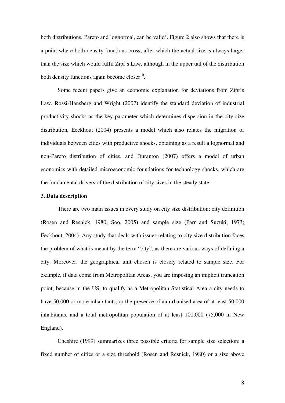both distributions, Pareto and lognormal, can be valid<sup>9</sup>. Figure 2 also shows that there is a point where both density functions cross, after which the actual size is always larger than the size which would fulfil Zipf's Law, although in the upper tail of the distribution both density functions again become  $\text{closer}^{10}$ .

Some recent papers give an economic explanation for deviations from Zipf's Law. Rossi-Hansberg and Wright (2007) identify the standard deviation of industrial productivity shocks as the key parameter which determines dispersion in the city size distribution, Eeckhout (2004) presents a model which also relates the migration of individuals between cities with productive shocks, obtaining as a result a lognormal and non-Pareto distribution of cities, and Duranton (2007) offers a model of urban economics with detailed microeconomic foundations for technology shocks, which are the fundamental drivers of the distribution of city sizes in the steady state.

#### **3. Data description**

There are two main issues in every study on city size distribution: city definition (Rosen and Resnick, 1980; Soo, 2005) and sample size (Parr and Suzuki, 1973; Eeckhout, 2004). Any study that deals with issues relating to city size distribution faces the problem of what is meant by the term "city", as there are various ways of defining a city. Moreover, the geographical unit chosen is closely related to sample size. For example, if data come from Metropolitan Areas, you are imposing an implicit truncation point, because in the US, to qualify as a Metropolitan Statistical Area a city needs to have 50,000 or more inhabitants, or the presence of an urbanised area of at least 50,000 inhabitants, and a total metropolitan population of at least 100,000 (75,000 in New England).

Cheshire (1999) summarizes three possible criteria for sample size selection: a fixed number of cities or a size threshold (Rosen and Resnick, 1980) or a size above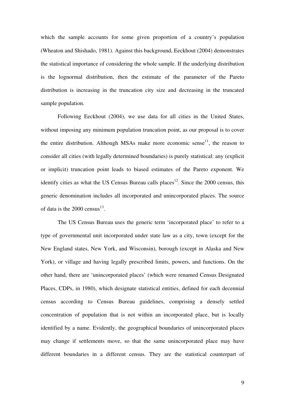which the sample accounts for some given proportion of a country's population (Wheaton and Shishado, 1981). Against this background, Eeckhout (2004) demonstrates the statistical importance of considering the whole sample. If the underlying distribution is the lognormal distribution, then the estimate of the parameter of the Pareto distribution is increasing in the truncation city size and decreasing in the truncated sample population.

Following Eeckhout (2004), we use data for all cities in the United States, without imposing any minimum population truncation point, as our proposal is to cover the entire distribution. Although MSAs make more economic sense<sup>11</sup>, the reason to consider all cities (with legally determined boundaries) is purely statistical: any (explicit or implicit) truncation point leads to biased estimates of the Pareto exponent. We identify cities as what the US Census Bureau calls places<sup>12</sup>. Since the 2000 census, this generic denomination includes all incorporated and unincorporated places. The source of data is the  $2000 \text{ census}^{13}$ .

The US Census Bureau uses the generic term 'incorporated place' to refer to a type of governmental unit incorporated under state law as a city, town (except for the New England states, New York, and Wisconsin), borough (except in Alaska and New York), or village and having legally prescribed limits, powers, and functions. On the other hand, there are 'unincorporated places' (which were renamed Census Designated Places, CDPs, in 1980), which designate statistical entities, defined for each decennial census according to Census Bureau guidelines, comprising a densely settled concentration of population that is not within an incorporated place, but is locally identified by a name. Evidently, the geographical boundaries of unincorporated places may change if settlements move, so that the same unincorporated place may have different boundaries in a different census. They are the statistical counterpart of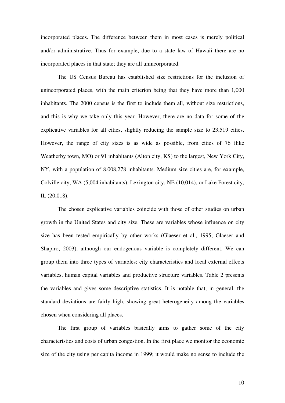incorporated places. The difference between them in most cases is merely political and/or administrative. Thus for example, due to a state law of Hawaii there are no incorporated places in that state; they are all unincorporated.

The US Census Bureau has established size restrictions for the inclusion of unincorporated places, with the main criterion being that they have more than 1,000 inhabitants. The 2000 census is the first to include them all, without size restrictions, and this is why we take only this year. However, there are no data for some of the explicative variables for all cities, slightly reducing the sample size to 23,519 cities. However, the range of city sizes is as wide as possible, from cities of 76 (like Weatherby town, MO) or 91 inhabitants (Alton city, KS) to the largest, New York City, NY, with a population of 8,008,278 inhabitants. Medium size cities are, for example, Colville city, WA (5,004 inhabitants), Lexington city, NE (10,014), or Lake Forest city, IL (20,018).

The chosen explicative variables coincide with those of other studies on urban growth in the United States and city size. These are variables whose influence on city size has been tested empirically by other works (Glaeser et al., 1995; Glaeser and Shapiro, 2003), although our endogenous variable is completely different. We can group them into three types of variables: city characteristics and local external effects variables, human capital variables and productive structure variables. Table 2 presents the variables and gives some descriptive statistics. It is notable that, in general, the standard deviations are fairly high, showing great heterogeneity among the variables chosen when considering all places.

The first group of variables basically aims to gather some of the city characteristics and costs of urban congestion. In the first place we monitor the economic size of the city using per capita income in 1999; it would make no sense to include the

10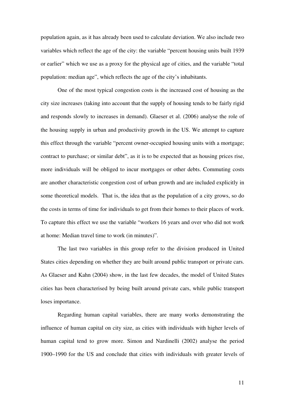population again, as it has already been used to calculate deviation. We also include two variables which reflect the age of the city: the variable "percent housing units built 1939 or earlier" which we use as a proxy for the physical age of cities, and the variable "total population: median age", which reflects the age of the city's inhabitants.

One of the most typical congestion costs is the increased cost of housing as the city size increases (taking into account that the supply of housing tends to be fairly rigid and responds slowly to increases in demand). Glaeser et al. (2006) analyse the role of the housing supply in urban and productivity growth in the US. We attempt to capture this effect through the variable "percent owner-occupied housing units with a mortgage; contract to purchase; or similar debt", as it is to be expected that as housing prices rise, more individuals will be obliged to incur mortgages or other debts. Commuting costs are another characteristic congestion cost of urban growth and are included explicitly in some theoretical models. That is, the idea that as the population of a city grows, so do the costs in terms of time for individuals to get from their homes to their places of work. To capture this effect we use the variable "workers 16 years and over who did not work at home: Median travel time to work (in minutes)".

The last two variables in this group refer to the division produced in United States cities depending on whether they are built around public transport or private cars. As Glaeser and Kahn (2004) show, in the last few decades, the model of United States cities has been characterised by being built around private cars, while public transport loses importance.

Regarding human capital variables, there are many works demonstrating the influence of human capital on city size, as cities with individuals with higher levels of human capital tend to grow more. Simon and Nardinelli (2002) analyse the period 1900–1990 for the US and conclude that cities with individuals with greater levels of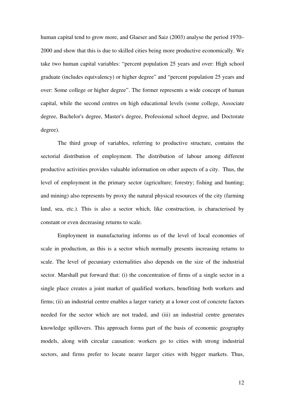human capital tend to grow more, and Glaeser and Saiz (2003) analyse the period 1970– 2000 and show that this is due to skilled cities being more productive economically. We take two human capital variables: "percent population 25 years and over: High school graduate (includes equivalency) or higher degree" and "percent population 25 years and over: Some college or higher degree". The former represents a wide concept of human capital, while the second centres on high educational levels (some college, Associate degree, Bachelor's degree, Master's degree, Professional school degree, and Doctorate degree).

The third group of variables, referring to productive structure, contains the sectorial distribution of employment. The distribution of labour among different productive activities provides valuable information on other aspects of a city. Thus, the level of employment in the primary sector (agriculture; forestry; fishing and hunting; and mining) also represents by proxy the natural physical resources of the city (farming land, sea, etc.). This is also a sector which, like construction, is characterised by constant or even decreasing returns to scale.

Employment in manufacturing informs us of the level of local economies of scale in production, as this is a sector which normally presents increasing returns to scale. The level of pecuniary externalities also depends on the size of the industrial sector. Marshall put forward that: (i) the concentration of firms of a single sector in a single place creates a joint market of qualified workers, benefiting both workers and firms; (ii) an industrial centre enables a larger variety at a lower cost of concrete factors needed for the sector which are not traded, and (iii) an industrial centre generates knowledge spillovers. This approach forms part of the basis of economic geography models, along with circular causation: workers go to cities with strong industrial sectors, and firms prefer to locate nearer larger cities with bigger markets. Thus,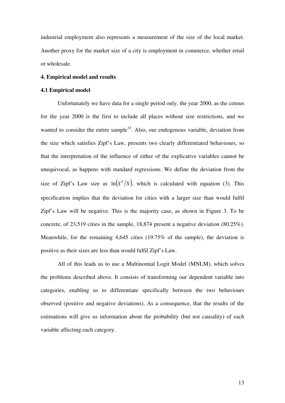industrial employment also represents a measurement of the size of the local market. Another proxy for the market size of a city is employment in commerce, whether retail or wholesale.

#### **4. Empirical model and results**

#### **4.1 Empirical model**

Unfortunately we have data for a single period only, the year 2000, as the census for the year 2000 is the first to include all places without size restrictions, and we wanted to consider the entire sample<sup>14</sup>. Also, our endogenous variable, deviation from the size which satisfies Zipf's Law, presents two clearly differentiated behaviours, so that the interpretation of the influence of either of the explicative variables cannot be unequivocal, as happens with standard regressions. We define the deviation from the size of Zipf's Law size as  $\ln(S^2/S)$ , which is calculated with equation (3). This specification implies that the deviation for cities with a larger size than would fulfil Zipf's Law will be negative. This is the majority case, as shown in Figure 3. To be concrete, of 23,519 cities in the sample, 18,874 present a negative deviation (80.25%). Meanwhile, for the remaining 4,645 cities (19.75% of the sample), the deviation is positive as their sizes are less than would fulfil Zipf's Law.

All of this leads us to use a Multinomial Logit Model (MNLM), which solves the problems described above. It consists of transforming our dependent variable into categories, enabling us to differentiate specifically between the two behaviours observed (positive and negative deviations). As a consequence, that the results of the estimations will give us information about the probability (but not causality) of each variable affecting each category.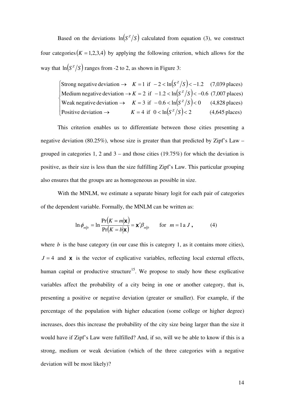Based on the deviations  $\ln(S^Z/S)$  calculated from equation (3), we construct four categories  $(K = 1,2,3,4)$  by applying the following criterion, which allows for the way that  $\ln(S^Z/S)$  ranges from -2 to 2, as shown in Figure 3:

 $\arcsin\left( \frac{\text{Strong negative deviation}}{\text{Area}} \right) \rightarrow K = 1 \text{ if } -2 < \ln(S^Z/S) < -1.2$  (7,039 places) Medium negative deviation  $\rightarrow K = 2$  if  $-1.2 < \ln(S^2/S)$ Weak negative deviation  $\rightarrow$   $K = 3$  if  $-0.6 < \ln(S^Z/S) < 0$  (4,828 places) Positive deviation  $\rightarrow$   $K = 4$  if  $0 < \ln(S^z/S) < 2$  (4,645 places)  $\frac{1}{2}$ Positive deviation  $\rightarrow$  $\overline{a}$ ⎨ Medium negative deviation  $\rightarrow K = 2$  if  $-1.2 < \ln(S^2/S) < -0.6$  (7,007 places)

This criterion enables us to differentiate between those cities presenting a negative deviation (80.25%), whose size is greater than that predicted by Zipf's Law – grouped in categories 1, 2 and  $3$  – and those cities (19.75%) for which the deviation is positive, as their size is less than the size fulfilling Zipf's Law. This particular grouping also ensures that the groups are as homogeneous as possible in size.

With the MNLM, we estimate a separate binary logit for each pair of categories of the dependent variable. Formally, the MNLM can be written as:

$$
\ln \phi_{m|b} = \ln \frac{\Pr(K = m|\mathbf{x})}{\Pr(K = b|\mathbf{x})} = \mathbf{x}'\beta_{m|b} \quad \text{for } m = 1 \text{ a } J \,, \tag{4}
$$

where  $b$  is the base category (in our case this is category 1, as it contains more cities),  $J = 4$  and **x** is the vector of explicative variables, reflecting local external effects, human capital or productive structure<sup>15</sup>. We propose to study how these explicative variables affect the probability of a city being in one or another category, that is, presenting a positive or negative deviation (greater or smaller). For example, if the percentage of the population with higher education (some college or higher degree) increases, does this increase the probability of the city size being larger than the size it would have if Zipf's Law were fulfilled? And, if so, will we be able to know if this is a strong, medium or weak deviation (which of the three categories with a negative deviation will be most likely)?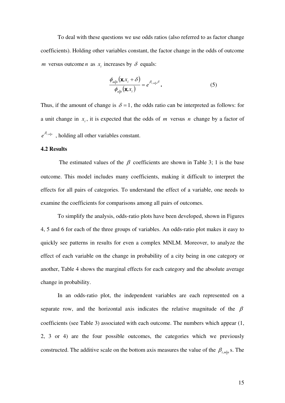To deal with these questions we use odds ratios (also referred to as factor change coefficients). Holding other variables constant, the factor change in the odds of outcome *m* versus outcome *n* as  $x_i$  increases by  $\delta$  equals:

$$
\frac{\phi_{m|b}(\mathbf{x}, x_i + \delta)}{\phi_{n|b}(\mathbf{x}, x_i)} = e^{\beta_{i,m|n}\delta}.
$$
\n(5)

Thus, if the amount of change is  $\delta = 1$ , the odds ratio can be interpreted as follows: for a unit change in  $x_i$ , it is expected that the odds of *m* versus *n* change by a factor of  $e^{\beta_{i,m|n}}$ , holding all other variables constant.

#### **4.2 Results**

The estimated values of the  $\beta$  coefficients are shown in Table 3; 1 is the base outcome. This model includes many coefficients, making it difficult to interpret the effects for all pairs of categories. To understand the effect of a variable, one needs to examine the coefficients for comparisons among all pairs of outcomes.

To simplify the analysis, odds-ratio plots have been developed, shown in Figures 4, 5 and 6 for each of the three groups of variables. An odds-ratio plot makes it easy to quickly see patterns in results for even a complex MNLM. Moreover, to analyze the effect of each variable on the change in probability of a city being in one category or another, Table 4 shows the marginal effects for each category and the absolute average change in probability.

In an odds-ratio plot, the independent variables are each represented on a separate row, and the horizontal axis indicates the relative magnitude of the  $\beta$ coefficients (see Table 3) associated with each outcome. The numbers which appear (1, 2, 3 or 4) are the four possible outcomes, the categories which we previously constructed. The additive scale on the bottom axis measures the value of the  $\beta_{i,m|n}$  s. The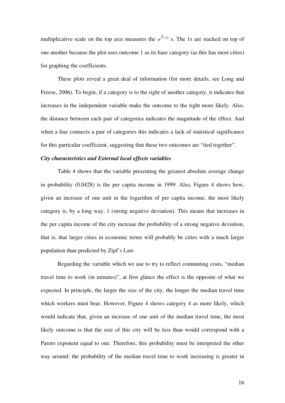multiplicative scale on the top axis measures the  $e^{\beta_{i,m}|n}$  s. The 1s are stacked on top of one another because the plot uses outcome 1 as its base category (as this has most cities) for graphing the coefficients.

These plots reveal a great deal of information (for more details, see Long and Freese, 2006). To begin, if a category is to the right of another category, it indicates that increases in the independent variable make the outcome to the right more likely. Also, the distance between each pair of categories indicates the magnitude of the effect. And when a line connects a pair of categories this indicates a lack of statistical significance for this particular coefficient, suggesting that these two outcomes are "tied together".

#### *City characteristics and External local effects variables*

Table 4 shows that the variable presenting the greatest absolute average change in probability (0.0428) is the per capita income in 1999. Also, Figure 4 shows how, given an increase of one unit in the logarithm of per capita income, the most likely category is, by a long way, 1 (strong negative deviation). This means that increases in the per capita income of the city increase the probability of a strong negative deviation, that is, that larger cities in economic terms will probably be cities with a much larger population than predicted by Zipf's Law.

Regarding the variable which we use to try to reflect commuting costs, "median travel time to work (in minutes)", at first glance the effect is the opposite of what we expected. In principle, the larger the size of the city, the longer the median travel time which workers must bear. However, Figure 4 shows category 4 as more likely, which would indicate that, given an increase of one unit of the median travel time, the most likely outcome is that the size of this city will be less than would correspond with a Pareto exponent equal to one. Therefore, this probability must be interpreted the other way around: the probability of the median travel time to work increasing is greater in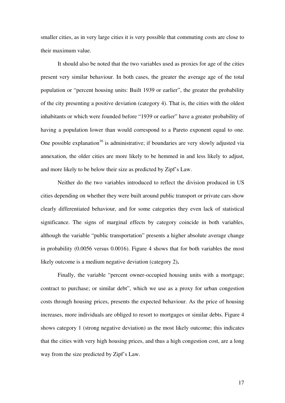smaller cities, as in very large cities it is very possible that commuting costs are close to their maximum value.

It should also be noted that the two variables used as proxies for age of the cities present very similar behaviour. In both cases, the greater the average age of the total population or "percent housing units: Built 1939 or earlier", the greater the probability of the city presenting a positive deviation (category 4). That is, the cities with the oldest inhabitants or which were founded before "1939 or earlier" have a greater probability of having a population lower than would correspond to a Pareto exponent equal to one. One possible explanation<sup>16</sup> is administrative; if boundaries are very slowly adjusted via annexation, the older cities are more likely to be hemmed in and less likely to adjust, and more likely to be below their size as predicted by Zipf's Law.

Neither do the two variables introduced to reflect the division produced in US cities depending on whether they were built around public transport or private cars show clearly differentiated behaviour, and for some categories they even lack of statistical significance. The signs of marginal effects by category coincide in both variables, although the variable "public transportation" presents a higher absolute average change in probability (0.0056 versus 0.0016). Figure 4 shows that for both variables the most likely outcome is a medium negative deviation (category 2)**.**

Finally, the variable "percent owner-occupied housing units with a mortgage; contract to purchase; or similar debt", which we use as a proxy for urban congestion costs through housing prices, presents the expected behaviour. As the price of housing increases, more individuals are obliged to resort to mortgages or similar debts. Figure 4 shows category 1 (strong negative deviation) as the most likely outcome; this indicates that the cities with very high housing prices, and thus a high congestion cost, are a long way from the size predicted by Zipf's Law.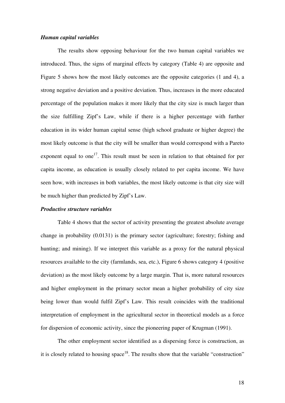#### *Human capital variables*

The results show opposing behaviour for the two human capital variables we introduced. Thus, the signs of marginal effects by category (Table 4) are opposite and Figure 5 shows how the most likely outcomes are the opposite categories (1 and 4), a strong negative deviation and a positive deviation. Thus, increases in the more educated percentage of the population makes it more likely that the city size is much larger than the size fulfilling Zipf's Law, while if there is a higher percentage with further education in its wider human capital sense (high school graduate or higher degree) the most likely outcome is that the city will be smaller than would correspond with a Pareto exponent equal to one<sup>17</sup>. This result must be seen in relation to that obtained for per capita income, as education is usually closely related to per capita income. We have seen how, with increases in both variables, the most likely outcome is that city size will be much higher than predicted by Zipf's Law.

#### *Productive structure variables*

Table 4 shows that the sector of activity presenting the greatest absolute average change in probability (0.0131) is the primary sector (agriculture; forestry; fishing and hunting; and mining). If we interpret this variable as a proxy for the natural physical resources available to the city (farmlands, sea, etc.), Figure 6 shows category 4 (positive deviation) as the most likely outcome by a large margin. That is, more natural resources and higher employment in the primary sector mean a higher probability of city size being lower than would fulfil Zipf's Law. This result coincides with the traditional interpretation of employment in the agricultural sector in theoretical models as a force for dispersion of economic activity, since the pioneering paper of Krugman (1991).

The other employment sector identified as a dispersing force is construction, as it is closely related to housing  $space^{18}$ . The results show that the variable "construction"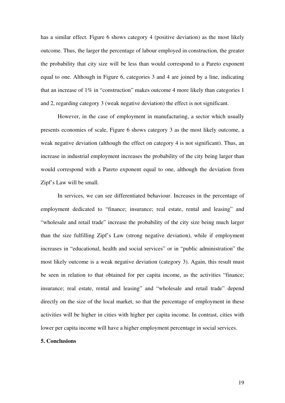has a similar effect. Figure 6 shows category 4 (positive deviation) as the most likely outcome. Thus, the larger the percentage of labour employed in construction, the greater the probability that city size will be less than would correspond to a Pareto exponent equal to one. Although in Figure 6, categories 3 and 4 are joined by a line, indicating that an increase of 1% in "construction" makes outcome 4 more likely than categories 1 and 2, regarding category 3 (weak negative deviation) the effect is not significant.

However, in the case of employment in manufacturing, a sector which usually presents economies of scale, Figure 6 shows category 3 as the most likely outcome, a weak negative deviation (although the effect on category 4 is not significant). Thus, an increase in industrial employment increases the probability of the city being larger than would correspond with a Pareto exponent equal to one, although the deviation from Zipf's Law will be small.

In services, we can see differentiated behaviour. Increases in the percentage of employment dedicated to "finance; insurance; real estate, rental and leasing" and "wholesale and retail trade" increase the probability of the city size being much larger than the size fulfilling Zipf's Law (strong negative deviation), while if employment increases in "educational, health and social services" or in "public administration" the most likely outcome is a weak negative deviation (category 3). Again, this result must be seen in relation to that obtained for per capita income, as the activities "finance; insurance; real estate, rental and leasing" and "wholesale and retail trade" depend directly on the size of the local market, so that the percentage of employment in these activities will be higher in cities with higher per capita income. In contrast, cities with lower per capita income will have a higher employment percentage in social services.

#### **5. Conclusions**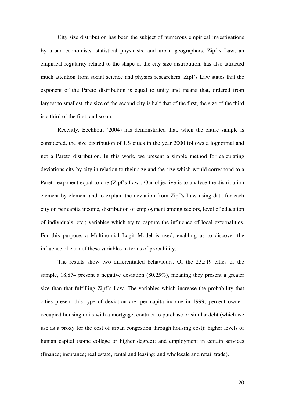City size distribution has been the subject of numerous empirical investigations by urban economists, statistical physicists, and urban geographers. Zipf's Law, an empirical regularity related to the shape of the city size distribution, has also attracted much attention from social science and physics researchers. Zipf's Law states that the exponent of the Pareto distribution is equal to unity and means that, ordered from largest to smallest, the size of the second city is half that of the first, the size of the third is a third of the first, and so on.

Recently, Eeckhout (2004) has demonstrated that, when the entire sample is considered, the size distribution of US cities in the year 2000 follows a lognormal and not a Pareto distribution. In this work, we present a simple method for calculating deviations city by city in relation to their size and the size which would correspond to a Pareto exponent equal to one (Zipf's Law). Our objective is to analyse the distribution element by element and to explain the deviation from Zipf's Law using data for each city on per capita income, distribution of employment among sectors, level of education of individuals, etc.; variables which try to capture the influence of local externalities. For this purpose, a Multinomial Logit Model is used, enabling us to discover the influence of each of these variables in terms of probability.

 The results show two differentiated behaviours. Of the 23,519 cities of the sample, 18,874 present a negative deviation (80.25%), meaning they present a greater size than that fulfilling Zipf's Law. The variables which increase the probability that cities present this type of deviation are: per capita income in 1999; percent owneroccupied housing units with a mortgage, contract to purchase or similar debt (which we use as a proxy for the cost of urban congestion through housing cost); higher levels of human capital (some college or higher degree); and employment in certain services (finance; insurance; real estate, rental and leasing; and wholesale and retail trade).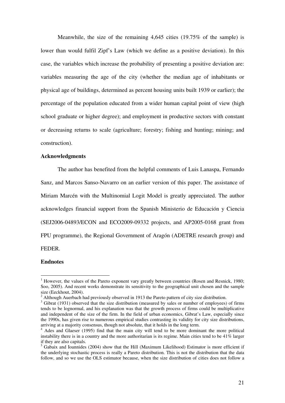Meanwhile, the size of the remaining 4,645 cities (19.75% of the sample) is lower than would fulfil Zipf's Law (which we define as a positive deviation). In this case, the variables which increase the probability of presenting a positive deviation are: variables measuring the age of the city (whether the median age of inhabitants or physical age of buildings, determined as percent housing units built 1939 or earlier); the percentage of the population educated from a wider human capital point of view (high school graduate or higher degree); and employment in productive sectors with constant or decreasing returns to scale (agriculture; forestry; fishing and hunting; mining; and construction).

#### **Acknowledgments**

The author has benefited from the helpful comments of Luis Lanaspa, Fernando Sanz, and Marcos Sanso-Navarro on an earlier version of this paper. The assistance of Miriam Marcén with the Multinomial Logit Model is greatly appreciated. The author acknowledges financial support from the Spanish Ministerio de Educación y Ciencia (SEJ2006-04893/ECON and ECO2009-09332 projects, and AP2005-0168 grant from FPU programme), the Regional Government of Aragón (ADETRE research group) and FEDER.

#### **Endnotes**

<sup>&</sup>lt;sup>1</sup> However, the values of the Pareto exponent vary greatly between countries (Rosen and Resnick, 1980; Soo, 2005). And recent works demonstrate its sensitivity to the geographical unit chosen and the sample size (Eeckhout, 2004).

 $2$  Although Auerbach had previously observed in 1913 the Pareto pattern of city size distribution.

<sup>&</sup>lt;sup>3</sup> Gibrat (1931) observed that the size distribution (measured by sales or number of employees) of firms tends to be lognormal, and his explanation was that the growth process of firms could be multiplicative and independent of the size of the firm. In the field of urban economics, Gibrat's Law, especially since the 1990s, has given rise to numerous empirical studies contrasting its validity for city size distributions, arriving at a majority consensus, though not absolute, that it holds in the long term.

<sup>&</sup>lt;sup>4</sup> Ades and Glaeser (1995) find that the main city will tend to be more dominant the more political instability there is in a country and the more authoritarian is its regime. Main cities tend to be 41% larger if they are also capitals.

<sup>&</sup>lt;sup>5</sup> Gabaix and Ioannides (2004) show that the Hill (Maximum Likelihood) Estimator is more efficient if the underlying stochastic process is really a Pareto distribution. This is not the distribution that the data follow, and so we use the OLS estimator because, when the size distribution of cities does not follow a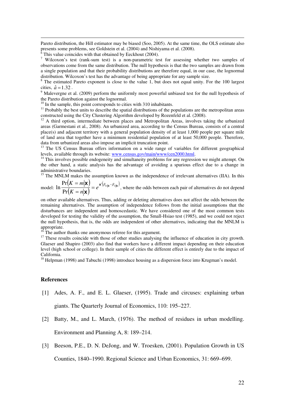Pareto distribution, the Hill estimator may be biased (Soo, 2005). At the same time, the OLS estimate also presents some problems, see Goldstein et al. (2004) and Nishiyama et al. (2008).

 $\overline{6}$  This value coincides with that obtained by Eeckhout (2004).

<sup>7</sup> Wilcoxon's test (rank-sum test) is a non-parametric test for assessing whether two samples of observations come from the same distribution. The null hypothesis is that the two samples are drawn from a single population and that their probability distributions are therefore equal, in our case, the lognormal distribution. Wilcoxon's test has the advantage of being appropriate for any sample size.

<sup>8</sup> The estimated Pareto exponent is close to the value 1, but does not equal unity. For the 100 largest cities,  $\hat{a} = 1.32$ .

<sup>9</sup> Malevergne et al. (2009) perform the uniformly most powerful unbiased test for the null hypothesis of the Pareto distribution against the lognormal.

 $10$  In the sample, this point corresponds to cities with 310 inhabitants.

<sup>11</sup> Probably the best units to describe the spatial distributions of the populations are the metropolitan areas constructed using the City Clustering Algorithm developed by Rozenfeld et al. (2008).

 $12$  A third option, intermediate between places and Metropolitan Areas, involves taking the urbanized areas (Garmestani et al., 2008). An urbanized area, according to the Census Bureau, consists of a central place(s) and adjacent territory with a general population density of at least 1,000 people per square mile of land area that together have a minimum residential population of at least 50,000 people. Therefore, data from urbanized areas also impose an implicit truncation point.

<sup>13</sup> The US Census Bureau offers information on a wide range of variables for different geographical levels, available through its website: www.census.gov/main/www/cen2000.html.

 $14$  This involves possible endogeneity and simultaneity problems for any regression we might attempt. On the other hand, a static analysis has the advantage of avoiding a spurious effect due to a change in administrative boundaries.

<sup>15</sup> The MNLM makes the assumption known as the independence of irrelevant alternatives (IIA). In this  $(K = m|\mathbf{x})$  $\left(\mathbf{x}\right) = e^{\mathbf{x}'\left(\beta_m|\mathbf{b} - \beta_m\right)}$  $K = m | \mathbf{X}$  *x*<sup>'</sup>( $\beta_{m | \mathbf{b}} - \beta_{n}$ = Pr

model:  $(K = n|\mathbf{x})$  $\left(\mathbf{X}\right) = e^{\mathbf{x}'\left(\beta_{m\mid\mathbf{b}} - \beta_{n\mid\mathbf{b}}\right)},$  $K = n$ = = Pr  $\ln \frac{1}{\sqrt{N}} = e^{-(\frac{N}{m}|\mathbf{b} - \rho_n|\mathbf{b})}$ , where the odds between each pair of alternatives do not depend

on other available alternatives. Thus, adding or deleting alternatives does not affect the odds between the remaining alternatives. The assumption of independence follows from the initial assumptions that the disturbances are independent and homoscedastic. We have considered one of the most common tests developed for testing the validity of the assumption, the Small-Hsiao test (1985), and we could not reject the null hypothesis, that is, the odds are independent of other alternatives, indicating that the MNLM is appropriate.

The author thanks one anonymous referee for this argument.

<sup>17</sup> These results coincide with those of other studies analysing the influence of education in city growth. Glaeser and Shapiro (2003) also find that workers have a different impact depending on their education level (high school or college). In their sample of cities the different effect is entirely due to the impact of California.

<sup>18</sup> Helpman (1998) and Tabuchi (1998) introduce housing as a dispersion force into Krugman's model.

#### **References**

-

- [1] Ades, A. F., and E. L. Glaeser, (1995). Trade and circuses: explaining urban giants. The Quarterly Journal of Economics, 110: 195–227.
- [2] Batty, M., and L. March, (1976). The method of residues in urban modelling. Environment and Planning A, 8: 189–214.
- [3] Beeson, P.E., D. N. DeJong, and W. Troesken, (2001). Population Growth in US

Counties, 1840–1990. Regional Science and Urban Economics, 31: 669–699.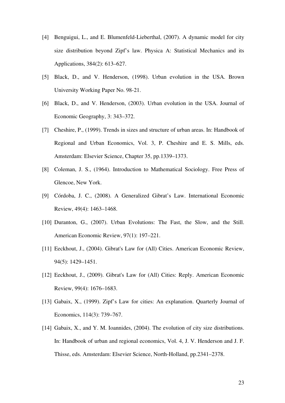- [4] Benguigui, L., and E. Blumenfeld-Lieberthal, (2007). A dynamic model for city size distribution beyond Zipf's law. Physica A: Statistical Mechanics and its Applications, 384(2): 613–627.
- [5] Black, D., and V. Henderson, (1998). Urban evolution in the USA. Brown University Working Paper No. 98-21.
- [6] Black, D., and V. Henderson, (2003). Urban evolution in the USA. Journal of Economic Geography, 3: 343–372.
- [7] Cheshire, P., (1999). Trends in sizes and structure of urban areas. In: Handbook of Regional and Urban Economics, Vol. 3, P. Cheshire and E. S. Mills, eds. Amsterdam: Elsevier Science, Chapter 35, pp.1339–1373.
- [8] Coleman, J. S., (1964). Introduction to Mathematical Sociology. Free Press of Glencoe, New York.
- [9] Córdoba, J. C., (2008). A Generalized Gibrat's Law. International Economic Review, 49(4): 1463–1468.
- [10] Duranton, G., (2007). Urban Evolutions: The Fast, the Slow, and the Still. American Economic Review, 97(1): 197–221.
- [11] Eeckhout, J., (2004). Gibrat's Law for (All) Cities. American Economic Review, 94(5): 1429–1451.
- [12] Eeckhout, J., (2009). Gibrat's Law for (All) Cities: Reply. American Economic Review, 99(4): 1676–1683.
- [13] Gabaix, X., (1999). Zipf's Law for cities: An explanation. Quarterly Journal of Economics, 114(3): 739–767.
- [14] Gabaix, X., and Y. M. Ioannides, (2004). The evolution of city size distributions. In: Handbook of urban and regional economics, Vol. 4, J. V. Henderson and J. F. Thisse, eds. Amsterdam: Elsevier Science, North-Holland, pp.2341–2378.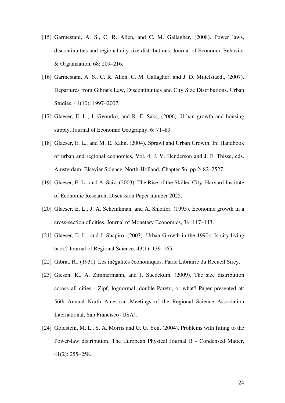- [15] Garmestani, A. S., C. R. Allen, and C. M. Gallagher, (2008). Power laws, discontinuities and regional city size distributions. Journal of Economic Behavior & Organization, 68: 209–216.
- [16] Garmestani, A. S., C. R. Allen, C. M. Gallagher, and J. D. Mittelstaedt, (2007). Departures from Gibrat's Law, Discontinuities and City Size Distributions. Urban Studies, 44(10): 1997–2007.
- [17] Glaeser, E. L., J. Gyourko, and R. E. Saks, (2006). Urban growth and housing supply. Journal of Economic Geography, 6: 71–89.
- [18] Glaeser, E. L., and M. E. Kahn, (2004). Sprawl and Urban Growth. In: Handbook of urban and regional economics, Vol. 4, J. V. Henderson and J. F. Thisse, eds. Amsterdam: Elsevier Science, North-Holland, Chapter 56, pp.2482–2527.
- [19] Glaeser, E. L., and A. Saiz, (2003). The Rise of the Skilled City. Harvard Institute of Economic Research, Discussion Paper number 2025.
- [20] Glaeser, E. L., J. A. Scheinkman, and A. Shleifer, (1995). Economic growth in a cross-section of cities. Journal of Monetary Economics, 36: 117–143.
- [21] Glaeser, E. L., and J. Shapiro, (2003). Urban Growth in the 1990s: Is city living back? Journal of Regional Science, 43(1): 139–165.
- [22] Gibrat, R., (1931). Les inégalités économiques. Paris: Librairie du Recueil Sirey.
- [23] Giesen, K., A. Zimmermann, and J. Suedekum, (2009). The size distribution across all cities - Zipf, lognormal, double Pareto, or what? Paper presented at: 56th Annual North American Meetings of the Regional Science Association International, San Francisco (USA).
- [24] Goldstein, M. L., S. A. Morris and G. G. Yen, (2004). Problems with fitting to the Power-law distribution. The European Physical Journal B - Condensed Matter, 41(2): 255–258.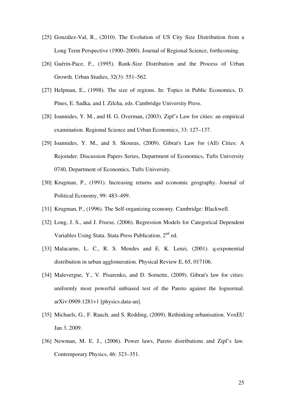- [25] González-Val, R., (2010). The Evolution of US City Size Distribution from a Long Term Perspective (1900–2000). Journal of Regional Science, forthcoming.
- [26] Guérin-Pace, F., (1995). Rank-Size Distribution and the Process of Urban Growth. Urban Studies, 32(3): 551–562.
- [27] Helpman, E., (1998). The size of regions. In: Topics in Public Economics, D. Pines, E. Sadka, and I. Zilcha, eds. Cambridge University Press.
- [28] Ioannides, Y. M., and H. G. Overman, (2003). Zipf's Law for cities: an empirical examination. Regional Science and Urban Economics, 33: 127–137.
- [29] Ioannides, Y. M., and S. Skouras, (2009). Gibrat's Law for (All) Cities: A Rejoinder. Discussion Papers Series, Department of Economics, Tufts University 0740, Department of Economics, Tufts University.
- [30] Krugman, P., (1991). Increasing returns and economic geography. Journal of Political Economy, 99: 483–499.
- [31] Krugman, P., (1996). The Self-organizing economy. Cambridge: Blackwell.
- [32] Long, J. S., and J. Freese, (2006). Regression Models for Categorical Dependent Variables Using Stata. Stata Press Publication, 2<sup>nd</sup> ed.
- [33] Malacarne, L. C., R. S. Mendes and E. K. Lenzi, (2001). q-exponential distribution in urban agglomeration. Physical Review E, 65, 017106.
- [34] Malevergne, Y., V. Pisarenko, and D. Sornette, (2009). Gibrat's law for cities: uniformly most powerful unbiased test of the Pareto against the lognormal. arXiv:0909.1281v1 [physics.data-an].
- [35] Michaels, G., F. Rauch, and S. Redding, (2009). Rethinking urbanisation. VoxEU Jan 3, 2009.
- [36] Newman, M. E. J., (2006). Power laws, Pareto distributions and Zipf's law. Contemporary Physics, 46: 323–351.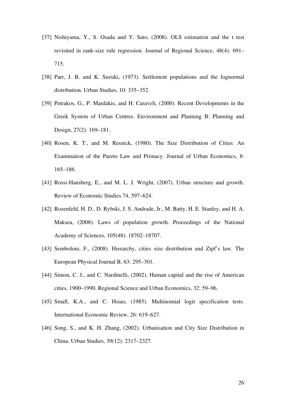- [37] Nishiyama, Y., S. Osada and Y. Sato, (2008). OLS estimation and the t test revisited in rank-size rule regression. Journal of Regional Science, 48(4): 691– 715.
- [38] Parr, J. B. and K. Suzuki, (1973). Settlement populations and the lognormal distribution. Urban Studies, 10: 335–352.
- [39] Petrakos, G., P. Mardakis, and H. Caraveli, (2000). Recent Developments in the Greek System of Urban Centres. Environment and Planning B: Planning and Design, 27(2): 169–181.
- [40] Rosen, K. T., and M. Resnick, (1980). The Size Distribution of Cities: An Examination of the Pareto Law and Primacy. Journal of Urban Economics, 8: 165–186.
- [41] Rossi-Hansberg, E., and M. L. J. Wright, (2007). Urban structure and growth. Review of Economic Studies 74, 597–624.
- [42] Rozenfeld, H. D., D. Rybski, J. S. Andrade, Jr., M. Batty, H. E. Stanley, and H. A. Maksea, (2008). Laws of population growth. Proceedings of the National Academy of Sciences, 105(48): 18702–18707.
- [43] Semboloni, F., (2008). Hierarchy, cities size distribution and Zipf's law. The European Physical Journal B, 63: 295–301.
- [44] Simon, C. J., and C. Nardinelli, (2002). Human capital and the rise of American cities, 1900–1990. Regional Science and Urban Economics, 32: 59–96.
- [45] Small, K.A., and C. Hsiao, (1985). Multinomial logit specification tests. International Economic Review, 26: 619–627.
- [46] Song, S., and K. H. Zhang, (2002). Urbanisation and City Size Distribution in China. Urban Studies, 39(12): 2317–2327.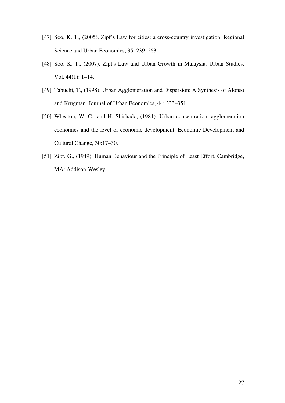- [47] Soo, K. T., (2005). Zipf's Law for cities: a cross-country investigation. Regional Science and Urban Economics, 35: 239–263.
- [48] Soo, K. T., (2007). Zipf's Law and Urban Growth in Malaysia. Urban Studies, Vol. 44(1): 1–14.
- [49] Tabuchi, T., (1998). Urban Agglomeration and Dispersion: A Synthesis of Alonso and Krugman. Journal of Urban Economics, 44: 333–351.
- [50] Wheaton, W. C., and H. Shishado, (1981). Urban concentration, agglomeration economies and the level of economic development. Economic Development and Cultural Change, 30:17–30.
- [51] Zipf, G., (1949). Human Behaviour and the Principle of Least Effort. Cambridge, MA: Addison-Wesley.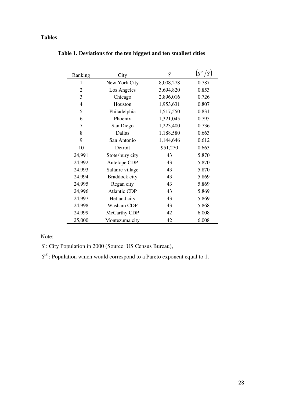## **Tables**

| Ranking | City                | $\boldsymbol{S}$ | $S^Z/S$ |  |
|---------|---------------------|------------------|---------|--|
| 1       | New York City       | 8,008,278        | 0.787   |  |
| 2       | Los Angeles         | 3,694,820        | 0.853   |  |
| 3       | Chicago             | 2,896,016        | 0.726   |  |
| 4       | Houston             | 1,953,631        | 0.807   |  |
| 5       | Philadelphia        | 1,517,550        | 0.831   |  |
| 6       | Phoenix             | 1,321,045        | 0.795   |  |
| 7       | San Diego           | 1,223,400        | 0.736   |  |
| 8       | Dallas              | 1,188,580        | 0.663   |  |
| 9       | San Antonio         | 1,144,646        | 0.612   |  |
| 10      | Detroit             | 951,270          | 0.663   |  |
| 24,991  | Stotesbury city     | 43               | 5.870   |  |
| 24,992  | Antelope CDP        | 43               | 5.870   |  |
| 24,993  | Saltaire village    | 43               | 5.870   |  |
| 24,994  | Braddock city       | 43               | 5.869   |  |
| 24,995  | Regan city          | 43               | 5.869   |  |
| 24,996  | <b>Atlantic CDP</b> | 43               | 5.869   |  |
| 24,997  | Hetland city        | 43               | 5.869   |  |
| 24,998  | Washam CDP          | 43               | 5.868   |  |
| 24,999  | McCarthy CDP        | 42               | 6.008   |  |
| 25,000  | Montezuma city      | 42               | 6.008   |  |

**Table 1. Deviations for the ten biggest and ten smallest cities** 

## Note:

*S* : City Population in 2000 (Source: US Census Bureau),

 $S<sup>Z</sup>$ : Population which would correspond to a Pareto exponent equal to 1.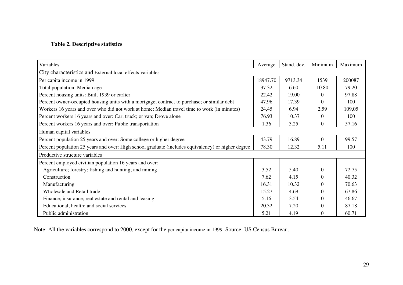### **Table 2. Descriptive statistics**

| Variables                                                                                          | Average  | Stand. dev. | Minimum  | Maximum |  |
|----------------------------------------------------------------------------------------------------|----------|-------------|----------|---------|--|
| City characteristics and External local effects variables                                          |          |             |          |         |  |
| Per capita income in 1999                                                                          | 18947.70 | 9713.34     | 1539     | 200087  |  |
| Total population: Median age                                                                       | 37.32    | 6.60        | 10.80    | 79.20   |  |
| Percent housing units: Built 1939 or earlier                                                       |          | 19.00       | $\theta$ | 97.88   |  |
| Percent owner-occupied housing units with a mortgage; contract to purchase; or similar debt        |          | 17.39       | 0        | 100     |  |
| Workers 16 years and over who did not work at home: Median travel time to work (in minutes)        |          | 6,94        | 2,59     | 109,05  |  |
| Percent workers 16 years and over: Car; truck; or van; Drove alone                                 |          | 10.37       | $\Omega$ | 100     |  |
| Percent workers 16 years and over: Public transportation                                           | 1.36     | 3.25        | 0        | 57.16   |  |
| Human capital variables                                                                            |          |             |          |         |  |
| Percent population 25 years and over: Some college or higher degree                                | 43.79    | 16.89       | $\Omega$ | 99.57   |  |
| Percent population 25 years and over: High school graduate (includes equivalency) or higher degree |          | 12.32       | 5.11     | 100     |  |
| Productive structure variables                                                                     |          |             |          |         |  |
| Percent employed civilian population 16 years and over:                                            |          |             |          |         |  |
| Agriculture; forestry; fishing and hunting; and mining                                             | 3.52     | 5.40        | $\Omega$ | 72.75   |  |
| Construction                                                                                       | 7.62     | 4.15        | 0        | 40.32   |  |
| Manufacturing                                                                                      | 16.31    | 10.32       | $\Omega$ | 70.63   |  |
| Wholesale and Retail trade                                                                         | 15.27    | 4.69        | $\Omega$ | 67.86   |  |
| Finance; insurance; real estate and rental and leasing                                             | 5.16     | 3.54        | $\Omega$ | 46.67   |  |
| Educational; health; and social services                                                           | 20.32    | 7.20        | $\Omega$ | 87.18   |  |
| Public administration                                                                              | 5.21     | 4.19        | $\Omega$ | 60.71   |  |

Note: All the variables correspond to 2000, except for the per capita income in 1999. Source: US Census Bureau.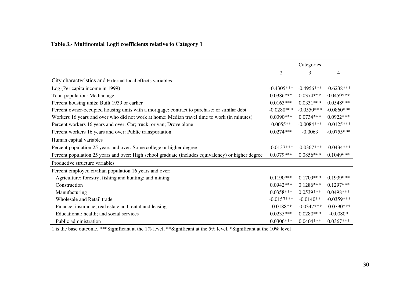### **Table 3.- Multinomial Logit coefficients relative to Category 1**

|                                                                                                    | Categories     |              |              |
|----------------------------------------------------------------------------------------------------|----------------|--------------|--------------|
|                                                                                                    | $\overline{2}$ | 3            | 4            |
| City characteristics and External local effects variables                                          |                |              |              |
| Log (Per capita income in 1999)                                                                    | $-0.4305***$   | $-0.4956***$ | $-0.6238***$ |
| Total population: Median age                                                                       | $0.0386***$    | $0.0374***$  | $0.0459***$  |
| Percent housing units: Built 1939 or earlier                                                       |                | $0.0331***$  | $0.0548***$  |
| Percent owner-occupied housing units with a mortgage; contract to purchase; or similar debt        |                | $-0.0550***$ | $-0.0860***$ |
| Workers 16 years and over who did not work at home: Median travel time to work (in minutes)        |                | $0.0734***$  | $0.0922***$  |
| Percent workers 16 years and over: Car; truck; or van; Drove alone                                 |                | $-0.0084***$ | $-0.0125***$ |
| Percent workers 16 years and over: Public transportation                                           | $0.0274***$    | $-0.0063$    | $-0.0755***$ |
| Human capital variables                                                                            |                |              |              |
| Percent population 25 years and over: Some college or higher degree                                | $-0.0137***$   | $-0.0367***$ | $-0.0434***$ |
| Percent population 25 years and over: High school graduate (includes equivalency) or higher degree |                | $0.0856***$  | $0.1049***$  |
| Productive structure variables                                                                     |                |              |              |
| Percent employed civilian population 16 years and over:                                            |                |              |              |
| Agriculture; forestry; fishing and hunting; and mining                                             | $0.1190***$    | $0.1709***$  | $0.1939***$  |
| Construction                                                                                       | $0.0942***$    | $0.1286***$  | $0.1297***$  |
| Manufacturing                                                                                      | $0.0358***$    | $0.0539***$  | $0.0498***$  |
| Wholesale and Retail trade                                                                         | $-0.0157***$   | $-0.0140**$  | $-0.0359***$ |
| Finance; insurance; real estate and rental and leasing                                             | $-0.0188**$    | $-0.0347***$ | $-0.0790***$ |
| Educational; health; and social services                                                           | $0.0235***$    | $0.0280***$  | $-0.0080*$   |
| Public administration                                                                              | $0.0306***$    | $0.0404***$  | $0.0367***$  |

1 is the base outcome. \*\*\*Significant at the 1% level, \*\*Significant at the 5% level, \*Significant at the 10% level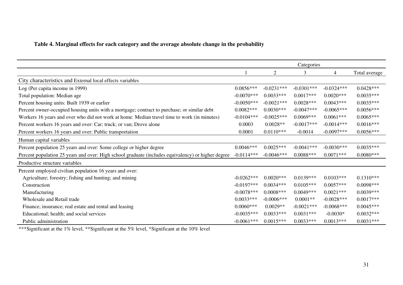### **Table 4. Marginal effects for each category and the average absolute change in the probability**

|                                                                                                    | Categories   |                |              |                |               |
|----------------------------------------------------------------------------------------------------|--------------|----------------|--------------|----------------|---------------|
|                                                                                                    |              | $\overline{2}$ | 3            | $\overline{4}$ | Total average |
| City characteristics and External local effects variables                                          |              |                |              |                |               |
| Log (Per capita income in 1999)                                                                    | $0.0856***$  | $-0.0231***$   | $-0.0301***$ | $-0.0324***$   | $0.0428***$   |
| Total population: Median age                                                                       |              | $0.0033***$    | $0.0017***$  | $0.0020***$    | $0.0035***$   |
| Percent housing units: Built 1939 or earlier                                                       |              | $-0.0021***$   | $0.0028***$  | $0.0043***$    | $0.0035***$   |
| Percent owner-occupied housing units with a mortgage; contract to purchase; or similar debt        |              | $0.0030***$    | $-0.0047***$ | $-0.0065***$   | $0.0056***$   |
| Workers 16 years and over who did not work at home: Median travel time to work (in minutes)        |              | $-0.0025***$   | $0.0069***$  | $0.0061***$    | $0.0065***$   |
| Percent workers 16 years and over: Car; truck; or van; Drove alone                                 |              | $0.0028**$     | $-0.0017***$ | $-0.0014***$   | $0.0016***$   |
| Percent workers 16 years and over: Public transportation                                           |              | $0.0110***$    | $-0.0014$    | $-0.0097***$   | $0.0056***$   |
| Human capital variables                                                                            |              |                |              |                |               |
| Percent population 25 years and over: Some college or higher degree                                | $0.0046***$  | $0.0025***$    | $-0.0041***$ | $-0.0030***$   | $0.0035***$   |
| Percent population 25 years and over: High school graduate (includes equivalency) or higher degree |              | $-0.0046***$   | $0.0088***$  | $0.0071***$    | $0.0080***$   |
| Productive structure variables                                                                     |              |                |              |                |               |
| Percent employed civilian population 16 years and over:                                            |              |                |              |                |               |
| Agriculture; forestry; fishing and hunting; and mining                                             | $-0.0262***$ | $0.0020***$    | $0.0139***$  | $0.0103***$    | $0.1310***$   |
| Construction                                                                                       | $-0.0197***$ | $0.0034***$    | $0.0105***$  | $0.0057***$    | $0.0098***$   |
| Manufacturing                                                                                      | $-0.0078***$ | $0.0008***$    | $0.0049***$  | $0.0021***$    | $0.0039***$   |
| Wholesale and Retail trade                                                                         | $0.0033***$  | $-0.0006$ ***  | $0.0001**$   | $-0.0028***$   | $0.0017***$   |
| Finance; insurance; real estate and rental and leasing                                             | $0.0060***$  | $0.0029**$     | $-0.0021***$ | $-0.0068***$   | $0.0045***$   |
| Educational; health; and social services                                                           |              | $0.0033***$    | $0.0031***$  | $-0.0030*$     | $0.0032***$   |
| Public administration                                                                              |              | $0.0015***$    | $0.0033***$  | $0.0013***$    | $0.0031***$   |

\*\*\*Significant at the 1% level, \*\*Significant at the 5% level, \*Significant at the 10% level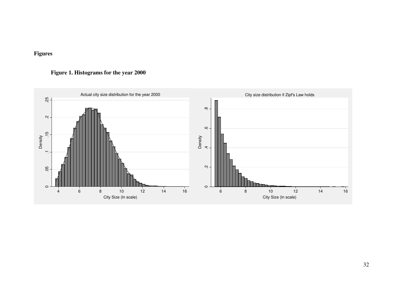## **Figures**

## **Figure 1. Histograms for the year 2000**

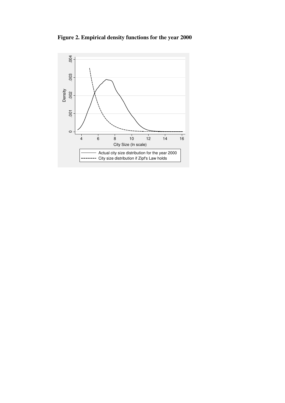**Figure 2. Empirical density functions for the year 2000** 

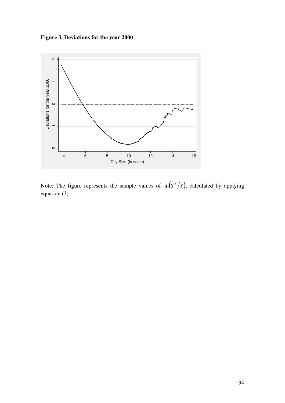**Figure 3. Deviations for the year 2000** 



Note: The figure represents the sample values of  $\ln(S^z/S)$ , calculated by applying equation (3).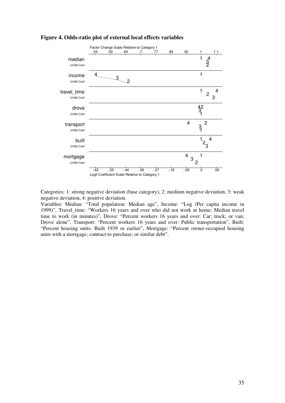

#### **Figure 4. Odds-ratio plot of external local effects variables**

Categories: 1: strong negative deviation (base category), 2: medium negative deviation, 3: weak negative deviation, 4: positive deviation.

Variables: Median: "Total population: Median age", Income: "Log (Per capita income in 1999)", Travel\_time: "Workers 16 years and over who did not work at home: Median travel time to work (in minutes)", Drove: "Percent workers 16 years and over: Car; truck; or van; Drove alone", Transport: "Percent workers 16 years and over: Public transportation", Built: "Percent housing units: Built 1939 or earlier", Mortgage: "Percent owner-occupied housing units with a mortgage; contract to purchase; or similar debt".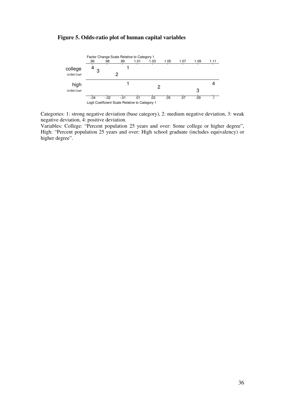#### **Figure 5. Odds-ratio plot of human capital variables**



Categories: 1: strong negative deviation (base category), 2: medium negative deviation, 3: weak negative deviation, 4: positive deviation.

Variables: College: "Percent population 25 years and over: Some college or higher degree", High: "Percent population 25 years and over: High school graduate (includes equivalency) or higher degree".